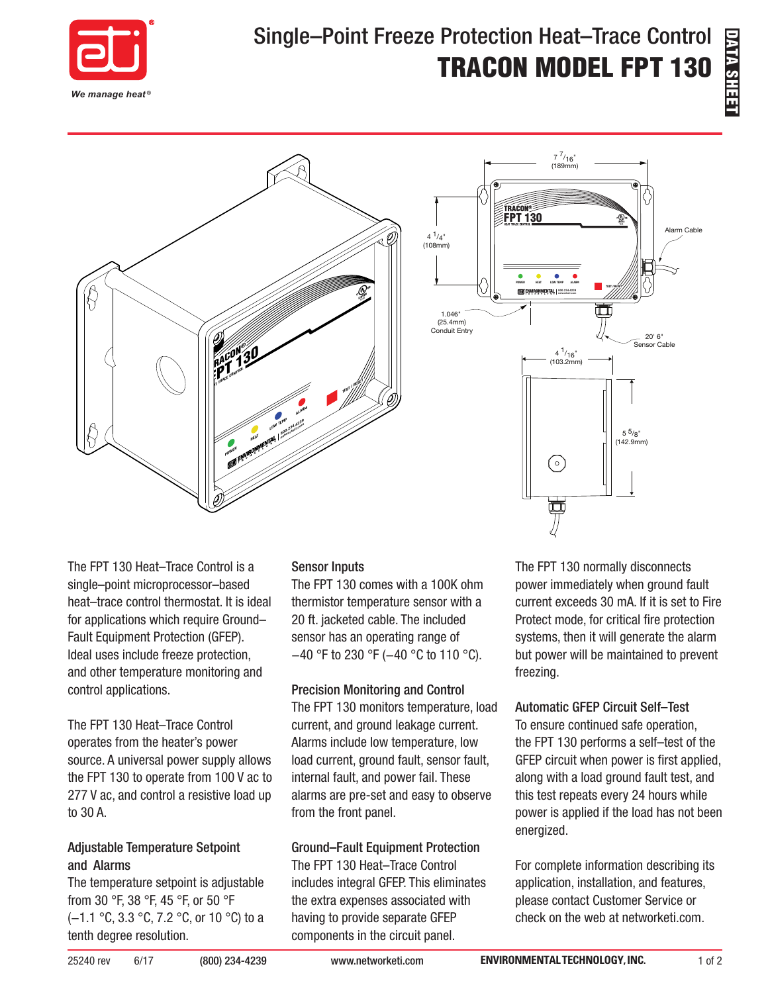

# Single–Point Freeze Protection Heat–Trace Control TRACON MODEL FPT 130



The FPT 130 Heat–Trace Control is a single–point microprocessor–based heat–trace control thermostat. It is ideal for applications which require Ground– Fault Equipment Protection (GFEP). Ideal uses include freeze protection, and other temperature monitoring and control applications.

The FPT 130 Heat–Trace Control operates from the heater's power source. A universal power supply allows the FPT 130 to operate from 100 V ac to 277 V ac, and control a resistive load up to 30 A.

#### Adjustable Temperature Setpoint and Alarms

The temperature setpoint is adjustable from 30 °F, 38 °F, 45 °F, or 50 °F (−1.1 °C, 3.3 °C, 7.2 °C, or 10 °C) to a tenth degree resolution.

#### Sensor Inputs

The FPT 130 comes with a 100K ohm thermistor temperature sensor with a 20 ft. jacketed cable. The included sensor has an operating range of −40 °F to 230 °F (−40 °C to 110 °C).

#### Precision Monitoring and Control

The FPT 130 monitors temperature, load current, and ground leakage current. Alarms include low temperature, low load current, ground fault, sensor fault, internal fault, and power fail. These alarms are pre-set and easy to observe from the front panel.

#### Ground–Fault Equipment Protection

The FPT 130 Heat–Trace Control includes integral GFEP. This eliminates the extra expenses associated with having to provide separate GFEP components in the circuit panel.

The FPT 130 normally disconnects power immediately when ground fault current exceeds 30 mA. If it is set to Fire Protect mode, for critical fire protection systems, then it will generate the alarm but power will be maintained to prevent freezing.

#### Automatic GFEP Circuit Self–Test

To ensure continued safe operation, the FPT 130 performs a self–test of the GFEP circuit when power is first applied, along with a load ground fault test, and this test repeats every 24 hours while power is applied if the load has not been energized.

For complete information describing its application, installation, and features, please contact Customer Service or check on the web at networketi.com.